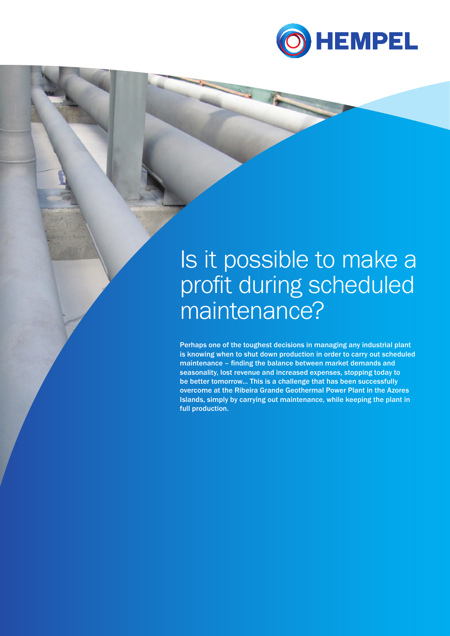

## Is it possible to make a profit during scheduled maintenance?

Perhaps one of the toughest decisions in managing any industrial plant is knowing when to shut down production in order to carry out scheduled maintenance – finding the balance between market demands and seasonality, lost revenue and increased expenses, stopping today to be better tomorrow… This is a challenge that has been successfully overcome at the Ribeira Grande Geothermal Power Plant in the Azores Islands, simply by carrying out maintenance, while keeping the plant in full production.